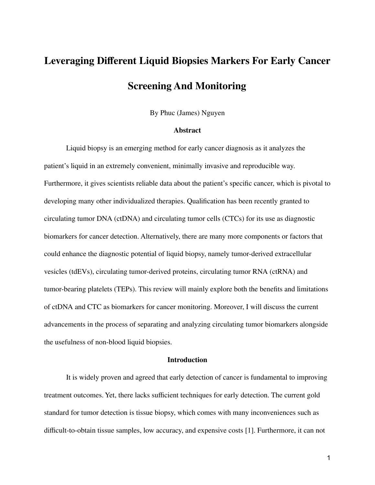# **Leveraging Different Liquid Biopsies Markers For Early Cancer Screening And Monitoring**

By Phuc (James) Nguyen

### **Abstract**

Liquid biopsy is an emerging method for early cancer diagnosis as it analyzes the patient's liquid in an extremely convenient, minimally invasive and reproducible way. Furthermore, it gives scientists reliable data about the patient's specific cancer, which is pivotal to developing many other individualized therapies. Qualification has been recently granted to circulating tumor DNA (ctDNA) and circulating tumor cells (CTCs) for its use as diagnostic biomarkers for cancer detection. Alternatively, there are many more components or factors that could enhance the diagnostic potential of liquid biopsy, namely tumor-derived extracellular vesicles (tdEVs), circulating tumor-derived proteins, circulating tumor RNA (ctRNA) and tumor-bearing platelets (TEPs). This review will mainly explore both the benefits and limitations of ctDNA and CTC as biomarkers for cancer monitoring. Moreover, I will discuss the current advancements in the process of separating and analyzing circulating tumor biomarkers alongside the usefulness of non-blood liquid biopsies.

## **Introduction**

It is widely proven and agreed that early detection of cancer is fundamental to improving treatment outcomes. Yet, there lacks sufficient techniques for early detection. The current gold standard for tumor detection is tissue biopsy, which comes with many inconveniences such as difficult-to-obtain tissue samples, low accuracy, and expensive costs [1]. Furthermore, it can not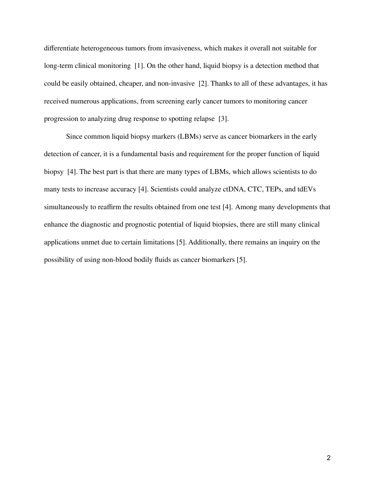differentiate heterogeneous tumors from invasiveness, which makes it overall not suitable for long-term clinical monitoring [1]. On the other hand, liquid biopsy is a detection method that could be easily obtained, cheaper, and non-invasive [2]. Thanks to all of these advantages, it has received numerous applications, from screening early cancer tumors to monitoring cancer progression to analyzing drug response to spotting relapse [3].

Since common liquid biopsy markers (LBMs) serve as cancer biomarkers in the early detection of cancer, it is a fundamental basis and requirement for the proper function of liquid biopsy [4]. The best part is that there are many types of LBMs, which allows scientists to do many tests to increase accuracy [4]. Scientists could analyze ctDNA, CTC, TEPs, and tdEVs simultaneously to reaffirm the results obtained from one test [4]. Among many developments that enhance the diagnostic and prognostic potential of liquid biopsies, there are still many clinical applications unmet due to certain limitations [5]. Additionally, there remains an inquiry on the possibility of using non-blood bodily fluids as cancer biomarkers [5].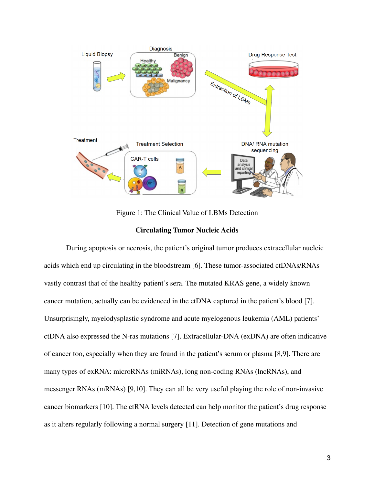

Figure 1: The Clinical Value of LBMs Detection

# **Circulating Tumor Nucleic Acids**

During apoptosis or necrosis, the patient's original tumor produces extracellular nucleic acids which end up circulating in the bloodstream [6]. These tumor-associated ctDNAs/RNAs vastly contrast that of the healthy patient's sera. The mutated KRAS gene, a widely known cancer mutation, actually can be evidenced in the ctDNA captured in the patient's blood [7]. Unsurprisingly, myelodysplastic syndrome and acute myelogenous leukemia (AML) patients' ctDNA also expressed the N-ras mutations [7]. Extracellular-DNA (exDNA) are often indicative of cancer too, especially when they are found in the patient's serum or plasma [8,9]. There are many types of exRNA: microRNAs (miRNAs), long non-coding RNAs (lncRNAs), and messenger RNAs (mRNAs) [9,10]. They can all be very useful playing the role of non-invasive cancer biomarkers [10]. The ctRNA levels detected can help monitor the patient's drug response as it alters regularly following a normal surgery [11]. Detection of gene mutations and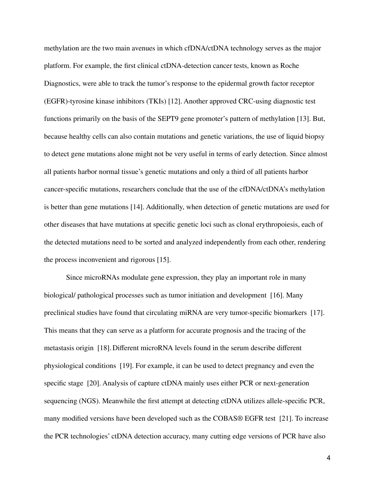methylation are the two main avenues in which cfDNA/ctDNA technology serves as the major platform. For example, the first clinical ctDNA-detection cancer tests, known as Roche Diagnostics, were able to track the tumor's response to the epidermal growth factor receptor (EGFR)-tyrosine kinase inhibitors (TKIs) [12]. Another approved CRC-using diagnostic test functions primarily on the basis of the SEPT9 gene promoter's pattern of methylation [13]. But, because healthy cells can also contain mutations and genetic variations, the use of liquid biopsy to detect gene mutations alone might not be very useful in terms of early detection. Since almost all patients harbor normal tissue's genetic mutations and only a third of all patients harbor cancer-specific mutations, researchers conclude that the use of the cfDNA/ctDNA's methylation is better than gene mutations [14]. Additionally, when detection of genetic mutations are used for other diseases that have mutations at specific genetic loci such as clonal erythropoiesis, each of the detected mutations need to be sorted and analyzed independently from each other, rendering the process inconvenient and rigorous [15].

Since microRNAs modulate gene expression, they play an important role in many biological/ pathological processes such as tumor initiation and development [16]. Many preclinical studies have found that circulating miRNA are very tumor-specific biomarkers [17]. This means that they can serve as a platform for accurate prognosis and the tracing of the metastasis origin [18]. Different microRNA levels found in the serum describe different physiological conditions [19]. For example, it can be used to detect pregnancy and even the specific stage [20]. Analysis of capture ctDNA mainly uses either PCR or next-generation sequencing (NGS). Meanwhile the first attempt at detecting ctDNA utilizes allele-specific PCR, many modified versions have been developed such as the COBAS® EGFR test [21]. To increase the PCR technologies' ctDNA detection accuracy, many cutting edge versions of PCR have also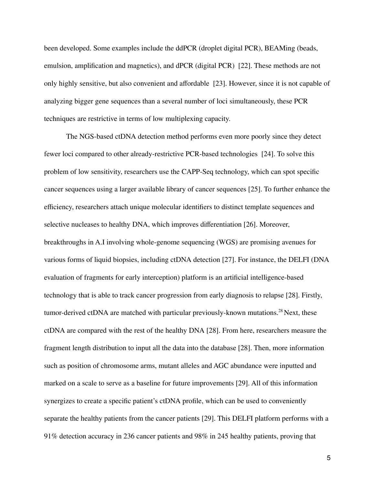been developed. Some examples include the ddPCR (droplet digital PCR), BEAMing (beads, emulsion, amplification and magnetics), and dPCR (digital PCR) [22]. These methods are not only highly sensitive, but also convenient and affordable [23]. However, since it is not capable of analyzing bigger gene sequences than a several number of loci simultaneously, these PCR techniques are restrictive in terms of low multiplexing capacity.

The NGS-based ctDNA detection method performs even more poorly since they detect fewer loci compared to other already-restrictive PCR-based technologies [24]. To solve this problem of low sensitivity, researchers use the CAPP-Seq technology, which can spot specific cancer sequences using a larger available library of cancer sequences [25]. To further enhance the efficiency, researchers attach unique molecular identifiers to distinct template sequences and selective nucleases to healthy DNA, which improves differentiation [26]. Moreover, breakthroughs in A.I involving whole-genome sequencing (WGS) are promising avenues for various forms of liquid biopsies, including ctDNA detection [27]. For instance, the DELFI (DNA evaluation of fragments for early interception) platform is an artificial intelligence-based technology that is able to track cancer progression from early diagnosis to relapse [28]. Firstly, tumor-derived ctDNA are matched with particular previously-known mutations. <sup>28</sup> Next, these ctDNA are compared with the rest of the healthy DNA [28]. From here, researchers measure the fragment length distribution to input all the data into the database [28]. Then, more information such as position of chromosome arms, mutant alleles and AGC abundance were inputted and marked on a scale to serve as a baseline for future improvements [29]. All of this information synergizes to create a specific patient's ctDNA profile, which can be used to conveniently separate the healthy patients from the cancer patients [29]. This DELFI platform performs with a 91% detection accuracy in 236 cancer patients and 98% in 245 healthy patients, proving that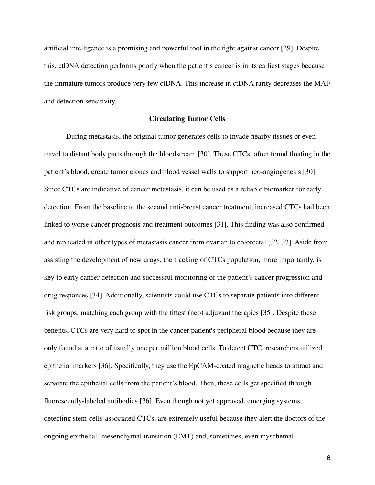artificial intelligence is a promising and powerful tool in the fight against cancer [29]. Despite this, ctDNA detection performs poorly when the patient's cancer is in its earliest stages because the immature tumors produce very few ctDNA. This increase in ctDNA rarity decreases the MAF and detection sensitivity.

# **Circulating Tumor Cells**

During metastasis, the original tumor generates cells to invade nearby tissues or even travel to distant body parts through the bloodstream [30]. These CTCs, often found floating in the patient's blood, create tumor clones and blood vessel walls to support neo-angiogenesis [30]. Since CTCs are indicative of cancer metastasis, it can be used as a reliable biomarker for early detection. From the baseline to the second anti-breast cancer treatment, increased CTCs had been linked to worse cancer prognosis and treatment outcomes [31]. This finding was also confirmed and replicated in other types of metastasis cancer from ovarian to colorectal [32, 33]. Aside from assisting the development of new drugs, the tracking of CTCs population, more importantly, is key to early cancer detection and successful monitoring of the patient's cancer progression and drug responses [34]. Additionally, scientists could use CTCs to separate patients into different risk groups, matching each group with the fittest (neo) adjuvant therapies [35]. Despite these benefits, CTCs are very hard to spot in the cancer patient's peripheral blood because they are only found at a ratio of usually one per million blood cells. To detect CTC, researchers utilized epithelial markers [36]. Specifically, they use the EpCAM-coated magnetic beads to attract and separate the epithelial cells from the patient's blood. Then, these cells get specified through fluorescently-labeled antibodies [36]. Even though not yet approved, emerging systems, detecting stem-cells-associated CTCs, are extremely useful because they alert the doctors of the ongoing epithelial- mesenchymal transition (EMT) and, sometimes, even myschemal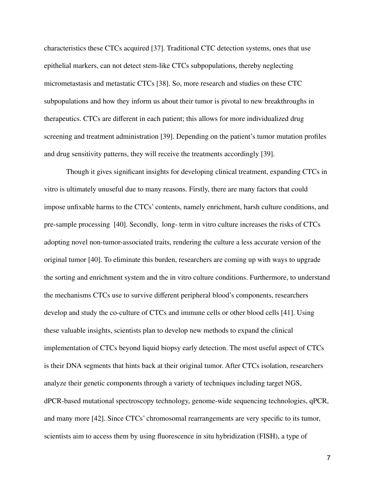characteristics these CTCs acquired [37]. Traditional CTC detection systems, ones that use epithelial markers, can not detect stem-like CTCs subpopulations, thereby neglecting micrometastasis and metastatic CTCs [38]. So, more research and studies on these CTC subpopulations and how they inform us about their tumor is pivotal to new breakthroughs in therapeutics. CTCs are different in each patient; this allows for more individualized drug screening and treatment administration [39]. Depending on the patient's tumor mutation profiles and drug sensitivity patterns, they will receive the treatments accordingly [39].

Though it gives significant insights for developing clinical treatment, expanding CTCs in vitro is ultimately unuseful due to many reasons. Firstly, there are many factors that could impose unfixable harms to the CTCs' contents, namely enrichment, harsh culture conditions, and pre-sample processing [40]. Secondly, long- term in vitro culture increases the risks of CTCs adopting novel non-tumor-associated traits, rendering the culture a less accurate version of the original tumor [40]. To eliminate this burden, researchers are coming up with ways to upgrade the sorting and enrichment system and the in vitro culture conditions. Furthermore, to understand the mechanisms CTCs use to survive different peripheral blood's components, researchers develop and study the co-culture of CTCs and immune cells or other blood cells [41]. Using these valuable insights, scientists plan to develop new methods to expand the clinical implementation of CTCs beyond liquid biopsy early detection. The most useful aspect of CTCs is their DNA segments that hints back at their original tumor. After CTCs isolation, researchers analyze their genetic components through a variety of techniques including target NGS, dPCR-based mutational spectroscopy technology, genome-wide sequencing technologies, qPCR, and many more [42]. Since CTCs' chromosomal rearrangements are very specific to its tumor, scientists aim to access them by using fluorescence in situ hybridization (FISH), a type of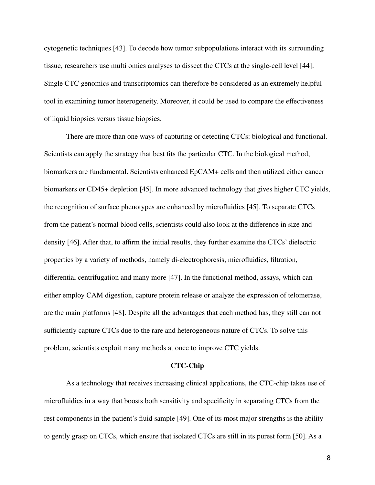cytogenetic techniques [43]. To decode how tumor subpopulations interact with its surrounding tissue, researchers use multi omics analyses to dissect the CTCs at the single-cell level [44]. Single CTC genomics and transcriptomics can therefore be considered as an extremely helpful tool in examining tumor heterogeneity. Moreover, it could be used to compare the effectiveness of liquid biopsies versus tissue biopsies.

There are more than one ways of capturing or detecting CTCs: biological and functional. Scientists can apply the strategy that best fits the particular CTC. In the biological method, biomarkers are fundamental. Scientists enhanced EpCAM+ cells and then utilized either cancer biomarkers or CD45+ depletion [45]. In more advanced technology that gives higher CTC yields, the recognition of surface phenotypes are enhanced by microfluidics [45]. To separate CTCs from the patient's normal blood cells, scientists could also look at the difference in size and density [46]. After that, to affirm the initial results, they further examine the CTCs' dielectric properties by a variety of methods, namely di-electrophoresis, microfluidics, filtration, differential centrifugation and many more [47]. In the functional method, assays, which can either employ CAM digestion, capture protein release or analyze the expression of telomerase, are the main platforms [48]. Despite all the advantages that each method has, they still can not sufficiently capture CTCs due to the rare and heterogeneous nature of CTCs. To solve this problem, scientists exploit many methods at once to improve CTC yields.

## **CTC-Chip**

As a technology that receives increasing clinical applications, the CTC-chip takes use of microfluidics in a way that boosts both sensitivity and specificity in separating CTCs from the rest components in the patient's fluid sample [49]. One of its most major strengths is the ability to gently grasp on CTCs, which ensure that isolated CTCs are still in its purest form [50]. As a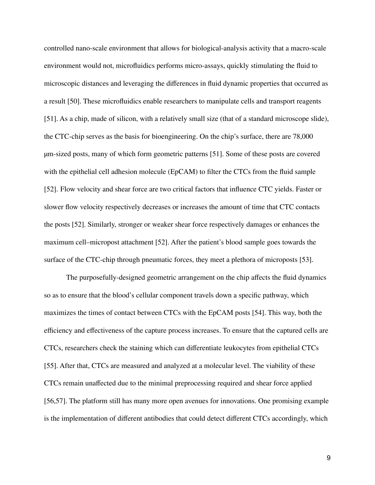controlled nano-scale environment that allows for biological-analysis activity that a macro-scale environment would not, microfluidics performs micro-assays, quickly stimulating the fluid to microscopic distances and leveraging the differences in fluid dynamic properties that occurred as a result [50]. These microfluidics enable researchers to manipulate cells and transport reagents [51]. As a chip, made of silicon, with a relatively small size (that of a standard microscope slide), the CTC-chip serves as the basis for bioengineering. On the chip's surface, there are 78,000 μm-sized posts, many of which form geometric patterns [51]. Some of these posts are covered with the epithelial cell adhesion molecule (EpCAM) to filter the CTCs from the fluid sample [52]. Flow velocity and shear force are two critical factors that influence CTC yields. Faster or slower flow velocity respectively decreases or increases the amount of time that CTC contacts the posts [52]. Similarly, stronger or weaker shear force respectively damages or enhances the maximum cell–micropost attachment [52]. After the patient's blood sample goes towards the surface of the CTC-chip through pneumatic forces, they meet a plethora of microposts [53].

The purposefully-designed geometric arrangement on the chip affects the fluid dynamics so as to ensure that the blood's cellular component travels down a specific pathway, which maximizes the times of contact between CTCs with the EpCAM posts [54]. This way, both the efficiency and effectiveness of the capture process increases. To ensure that the captured cells are CTCs, researchers check the staining which can differentiate leukocytes from epithelial CTCs [55]. After that, CTCs are measured and analyzed at a molecular level. The viability of these CTCs remain unaffected due to the minimal preprocessing required and shear force applied [56,57]. The platform still has many more open avenues for innovations. One promising example is the implementation of different antibodies that could detect different CTCs accordingly, which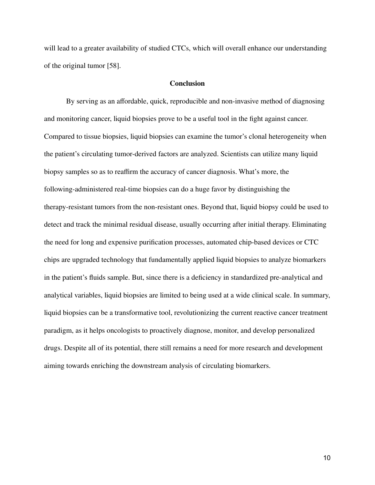will lead to a greater availability of studied CTCs, which will overall enhance our understanding of the original tumor [58].

## **Conclusion**

By serving as an affordable, quick, reproducible and non-invasive method of diagnosing and monitoring cancer, liquid biopsies prove to be a useful tool in the fight against cancer. Compared to tissue biopsies, liquid biopsies can examine the tumor's clonal heterogeneity when the patient's circulating tumor-derived factors are analyzed. Scientists can utilize many liquid biopsy samples so as to reaffirm the accuracy of cancer diagnosis. What's more, the following-administered real-time biopsies can do a huge favor by distinguishing the therapy-resistant tumors from the non-resistant ones. Beyond that, liquid biopsy could be used to detect and track the minimal residual disease, usually occurring after initial therapy. Eliminating the need for long and expensive purification processes, automated chip-based devices or CTC chips are upgraded technology that fundamentally applied liquid biopsies to analyze biomarkers in the patient's fluids sample. But, since there is a deficiency in standardized pre-analytical and analytical variables, liquid biopsies are limited to being used at a wide clinical scale. In summary, liquid biopsies can be a transformative tool, revolutionizing the current reactive cancer treatment paradigm, as it helps oncologists to proactively diagnose, monitor, and develop personalized drugs. Despite all of its potential, there still remains a need for more research and development aiming towards enriching the downstream analysis of circulating biomarkers.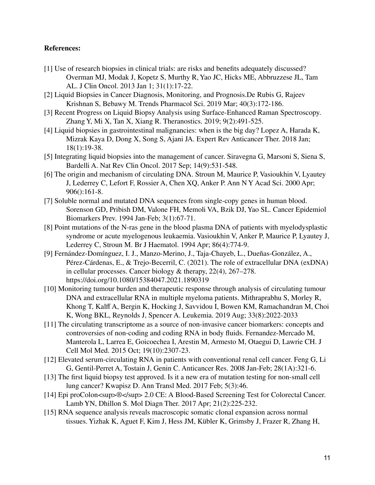# **References:**

- [1] Use of research biopsies in clinical trials: are risks and benefits adequately discussed? Overman MJ, Modak J, Kopetz S, Murthy R, Yao JC, Hicks ME, Abbruzzese JL, Tam AL. J Clin Oncol. 2013 Jan 1; 31(1):17-22.
- [2] Liquid Biopsies in Cancer Diagnosis, Monitoring, and Prognosis.De Rubis G, Rajeev Krishnan S, Bebawy M. Trends Pharmacol Sci. 2019 Mar; 40(3):172-186.
- [3] Recent Progress on Liquid Biopsy Analysis using Surface-Enhanced Raman Spectroscopy. Zhang Y, Mi X, Tan X, Xiang R. Theranostics. 2019; 9(2):491-525.
- [4] Liquid biopsies in gastrointestinal malignancies: when is the big day? Lopez A, Harada K, Mizrak Kaya D, Dong X, Song S, Ajani JA. Expert Rev Anticancer Ther. 2018 Jan; 18(1):19-38.
- [5] Integrating liquid biopsies into the management of cancer. Siravegna G, Marsoni S, Siena S, Bardelli A. Nat Rev Clin Oncol. 2017 Sep; 14(9):531-548.
- [6] The origin and mechanism of circulating DNA. Stroun M, Maurice P, Vasioukhin V, Lyautey J, Lederrey C, Lefort F, Rossier A, Chen XQ, Anker P. Ann N Y Acad Sci. 2000 Apr; 906():161-8.
- [7] Soluble normal and mutated DNA sequences from single-copy genes in human blood. Sorenson GD, Pribish DM, Valone FH, Memoli VA, Bzik DJ, Yao SL. Cancer Epidemiol Biomarkers Prev. 1994 Jan-Feb; 3(1):67-71.
- [8] Point mutations of the N-ras gene in the blood plasma DNA of patients with myelodysplastic syndrome or acute myelogenous leukaemia. Vasioukhin V, Anker P, Maurice P, Lyautey J, Lederrey C, Stroun M. Br J Haematol. 1994 Apr; 86(4):774-9.
- [9] Fernández-Domínguez, I. J., Manzo-Merino, J., Taja-Chayeb, L., Dueñas-González, A., Pérez-Cárdenas, E., & Trejo-Becerril, C. (2021). The role of extracellular DNA (exDNA) in cellular processes. Cancer biology & therapy, 22(4), 267–278. https://doi.org/10.1080/15384047.2021.1890319
- [10] Monitoring tumour burden and therapeutic response through analysis of circulating tumour DNA and extracellular RNA in multiple myeloma patients. Mithraprabhu S, Morley R, Khong T, Kalff A, Bergin K, Hocking J, Savvidou I, Bowen KM, Ramachandran M, Choi K, Wong BKL, Reynolds J, Spencer A. Leukemia. 2019 Aug; 33(8):2022-2033
- [11] The circulating transcriptome as a source of non-invasive cancer biomarkers: concepts and controversies of non-coding and coding RNA in body fluids. Fernandez-Mercado M, Manterola L, Larrea E, Goicoechea I, Arestin M, Armesto M, Otaegui D, Lawrie CH. J Cell Mol Med. 2015 Oct; 19(10):2307-23.
- [12] Elevated serum-circulating RNA in patients with conventional renal cell cancer. Feng G, Li G, Gentil-Perret A, Tostain J, Genin C. Anticancer Res. 2008 Jan-Feb; 28(1A):321-6.
- [13] The first liquid biopsy test approved. Is it a new era of mutation testing for non-small cell lung cancer? Kwapisz D. Ann Transl Med. 2017 Feb; 5(3):46.
- [14] Epi proColon<sup><sup>®</sup> </sup> 2.0 CE: A Blood-Based Screening Test for Colorectal Cancer. Lamb YN, Dhillon S. Mol Diagn Ther. 2017 Apr; 21(2):225-232.
- [15] RNA sequence analysis reveals macroscopic somatic clonal expansion across normal tissues. Yizhak K, Aguet F, Kim J, Hess JM, Kübler K, Grimsby J, Frazer R, Zhang H,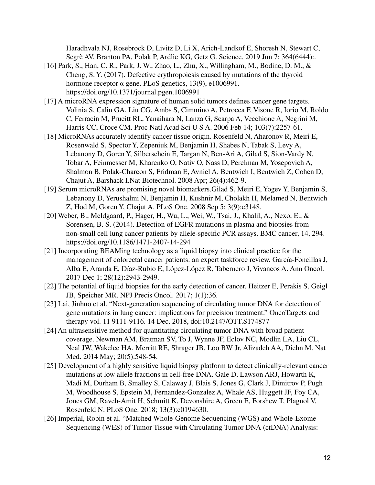Haradhvala NJ, Rosebrock D, Livitz D, Li X, Arich-Landkof E, Shoresh N, Stewart C, Segrè AV, Branton PA, Polak P, Ardlie KG, Getz G. Science. 2019 Jun 7; 364(6444):.

- [16] Park, S., Han, C. R., Park, J. W., Zhao, L., Zhu, X., Willingham, M., Bodine, D. M., & Cheng, S. Y. (2017). Defective erythropoiesis caused by mutations of the thyroid hormone receptor α gene. PLoS genetics, 13(9), e1006991. https://doi.org/10.1371/journal.pgen.1006991
- [17] A microRNA expression signature of human solid tumors defines cancer gene targets. Volinia S, Calin GA, Liu CG, Ambs S, Cimmino A, Petrocca F, Visone R, Iorio M, Roldo C, Ferracin M, Prueitt RL, Yanaihara N, Lanza G, Scarpa A, Vecchione A, Negrini M, Harris CC, Croce CM. Proc Natl Acad Sci U S A. 2006 Feb 14; 103(7):2257-61.
- [18] MicroRNAs accurately identify cancer tissue origin. Rosenfeld N, Aharonov R, Meiri E, Rosenwald S, Spector Y, Zepeniuk M, Benjamin H, Shabes N, Tabak S, Levy A, Lebanony D, Goren Y, Silberschein E, Targan N, Ben-Ari A, Gilad S, Sion-Vardy N, Tobar A, Feinmesser M, Kharenko O, Nativ O, Nass D, Perelman M, Yosepovich A, Shalmon B, Polak-Charcon S, Fridman E, Avniel A, Bentwich I, Bentwich Z, Cohen D, Chajut A, Barshack I.Nat Biotechnol. 2008 Apr; 26(4):462-9.
- [19] Serum microRNAs are promising novel biomarkers.Gilad S, Meiri E, Yogev Y, Benjamin S, Lebanony D, Yerushalmi N, Benjamin H, Kushnir M, Cholakh H, Melamed N, Bentwich Z, Hod M, Goren Y, Chajut A. PLoS One. 2008 Sep 5; 3(9):e3148.
- [20] Weber, B., Meldgaard, P., Hager, H., Wu, L., Wei, W., Tsai, J., Khalil, A., Nexo, E., & Sorensen, B. S. (2014). Detection of EGFR mutations in plasma and biopsies from non-small cell lung cancer patients by allele-specific PCR assays. BMC cancer, 14, 294. https://doi.org/10.1186/1471-2407-14-294
- [21] Incorporating BEAMing technology as a liquid biopsy into clinical practice for the management of colorectal cancer patients: an expert taskforce review. García-Foncillas J, Alba E, Aranda E, Díaz-Rubio E, López-López R, Tabernero J, Vivancos A. Ann Oncol. 2017 Dec 1; 28(12):2943-2949.
- [22] The potential of liquid biopsies for the early detection of cancer. Heitzer E, Perakis S, Geigl JB, Speicher MR. NPJ Precis Oncol. 2017; 1(1):36.
- [23] Lai, Jinhuo et al. "Next-generation sequencing of circulating tumor DNA for detection of gene mutations in lung cancer: implications for precision treatment." OncoTargets and therapy vol. 11 9111-9116. 14 Dec. 2018, doi:10.2147/OTT.S174877
- [24] An ultrasensitive method for quantitating circulating tumor DNA with broad patient coverage. Newman AM, Bratman SV, To J, Wynne JF, Eclov NC, Modlin LA, Liu CL, Neal JW, Wakelee HA, Merritt RE, Shrager JB, Loo BW Jr, Alizadeh AA, Diehn M. Nat Med. 2014 May; 20(5):548-54.
- [25] Development of a highly sensitive liquid biopsy platform to detect clinically-relevant cancer mutations at low allele fractions in cell-free DNA. Gale D, Lawson ARJ, Howarth K, Madi M, Durham B, Smalley S, Calaway J, Blais S, Jones G, Clark J, Dimitrov P, Pugh M, Woodhouse S, Epstein M, Fernandez-Gonzalez A, Whale AS, Huggett JF, Foy CA, Jones GM, Raveh-Amit H, Schmitt K, Devonshire A, Green E, Forshew T, Plagnol V, Rosenfeld N. PLoS One. 2018; 13(3):e0194630.
- [26] Imperial, Robin et al. "Matched Whole-Genome Sequencing (WGS) and Whole-Exome Sequencing (WES) of Tumor Tissue with Circulating Tumor DNA (ctDNA) Analysis: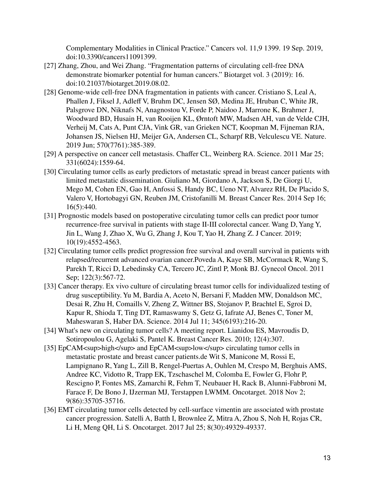Complementary Modalities in Clinical Practice." Cancers vol. 11,9 1399. 19 Sep. 2019, doi:10.3390/cancers11091399.

- [27] Zhang, Zhou, and Wei Zhang. "Fragmentation patterns of circulating cell-free DNA demonstrate biomarker potential for human cancers." Biotarget vol. 3 (2019): 16. doi:10.21037/biotarget.2019.08.02.
- [28] Genome-wide cell-free DNA fragmentation in patients with cancer. Cristiano S, Leal A, Phallen J, Fiksel J, Adleff V, Bruhm DC, Jensen SØ, Medina JE, Hruban C, White JR, Palsgrove DN, Niknafs N, Anagnostou V, Forde P, Naidoo J, Marrone K, Brahmer J, Woodward BD, Husain H, van Rooijen KL, Ørntoft MW, Madsen AH, van de Velde CJH, Verheij M, Cats A, Punt CJA, Vink GR, van Grieken NCT, Koopman M, Fijneman RJA, Johansen JS, Nielsen HJ, Meijer GA, Andersen CL, Scharpf RB, Velculescu VE. Nature. 2019 Jun; 570(7761):385-389.
- [29] A perspective on cancer cell metastasis. Chaffer CL, Weinberg RA. Science. 2011 Mar 25; 331(6024):1559-64.
- [30] Circulating tumor cells as early predictors of metastatic spread in breast cancer patients with limited metastatic dissemination. Giuliano M, Giordano A, Jackson S, De Giorgi U, Mego M, Cohen EN, Gao H, Anfossi S, Handy BC, Ueno NT, Alvarez RH, De Placido S, Valero V, Hortobagyi GN, Reuben JM, Cristofanilli M. Breast Cancer Res. 2014 Sep 16; 16(5):440.
- [31] Prognostic models based on postoperative circulating tumor cells can predict poor tumor recurrence-free survival in patients with stage II-III colorectal cancer. Wang D, Yang Y, Jin L, Wang J, Zhao X, Wu G, Zhang J, Kou T, Yao H, Zhang Z. J Cancer. 2019; 10(19):4552-4563.
- [32] Circulating tumor cells predict progression free survival and overall survival in patients with relapsed/recurrent advanced ovarian cancer.Poveda A, Kaye SB, McCormack R, Wang S, Parekh T, Ricci D, Lebedinsky CA, Tercero JC, Zintl P, Monk BJ. Gynecol Oncol. 2011 Sep; 122(3):567-72.
- [33] Cancer therapy. Ex vivo culture of circulating breast tumor cells for individualized testing of drug susceptibility. Yu M, Bardia A, Aceto N, Bersani F, Madden MW, Donaldson MC, Desai R, Zhu H, Comaills V, Zheng Z, Wittner BS, Stojanov P, Brachtel E, Sgroi D, Kapur R, Shioda T, Ting DT, Ramaswamy S, Getz G, Iafrate AJ, Benes C, Toner M, Maheswaran S, Haber DA. Science. 2014 Jul 11; 345(6193):216-20.
- [34] What's new on circulating tumor cells? A meeting report. Lianidou ES, Mavroudis D, Sotiropoulou G, Agelaki S, Pantel K. Breast Cancer Res. 2010; 12(4):307.
- [35] EpCAM<sup>high</sup> and EpCAM<sup>low</sup> circulating tumor cells in metastatic prostate and breast cancer patients.de Wit S, Manicone M, Rossi E, Lampignano R, Yang L, Zill B, Rengel-Puertas A, Ouhlen M, Crespo M, Berghuis AMS, Andree KC, Vidotto R, Trapp EK, Tzschaschel M, Colomba E, Fowler G, Flohr P, Rescigno P, Fontes MS, Zamarchi R, Fehm T, Neubauer H, Rack B, Alunni-Fabbroni M, Farace F, De Bono J, IJzerman MJ, Terstappen LWMM. Oncotarget. 2018 Nov 2; 9(86):35705-35716.
- [36] EMT circulating tumor cells detected by cell-surface vimentin are associated with prostate cancer progression. Satelli A, Batth I, Brownlee Z, Mitra A, Zhou S, Noh H, Rojas CR, Li H, Meng QH, Li S. Oncotarget. 2017 Jul 25; 8(30):49329-49337.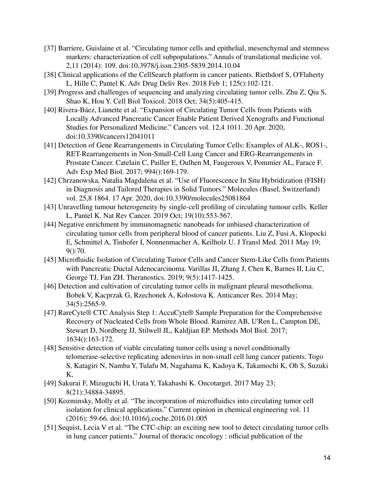- [37] Barriere, Guislaine et al. "Circulating tumor cells and epithelial, mesenchymal and stemness markers: characterization of cell subpopulations." Annals of translational medicine vol. 2,11 (2014): 109. doi:10.3978/j.issn.2305-5839.2014.10.04
- [38] Clinical applications of the CellSearch platform in cancer patients. Riethdorf S, O'Flaherty L, Hille C, Pantel K. Adv Drug Deliv Rev. 2018 Feb 1; 125():102-121.
- [39] Progress and challenges of sequencing and analyzing circulating tumor cells. Zhu Z, Qiu S, Shao K, Hou Y. Cell Biol Toxicol. 2018 Oct; 34(5):405-415.
- [40] Rivera-Báez, Lianette et al. "Expansion of Circulating Tumor Cells from Patients with Locally Advanced Pancreatic Cancer Enable Patient Derived Xenografts and Functional Studies for Personalized Medicine." Cancers vol. 12,4 1011. 20 Apr. 2020, doi:10.3390/cancers12041011
- [41] Detection of Gene Rearrangements in Circulating Tumor Cells: Examples of ALK-, ROS1-, RET-Rearrangements in Non-Small-Cell Lung Cancer and ERG-Rearrangements in Prostate Cancer. Catelain C, Pailler E, Oulhen M, Faugeroux V, Pommier AL, Farace F. Adv Exp Med Biol. 2017; 994():169-179.
- [42] Chrzanowska, Natalia Magdalena et al. "Use of Fluorescence In Situ Hybridization (FISH) in Diagnosis and Tailored Therapies in Solid Tumors." Molecules (Basel, Switzerland) vol. 25,8 1864. 17 Apr. 2020, doi:10.3390/molecules25081864
- [43] Unravelling tumour heterogeneity by single-cell profiling of circulating tumour cells. Keller L, Pantel K. Nat Rev Cancer. 2019 Oct; 19(10):553-567.
- [44] Negative enrichment by immunomagnetic nanobeads for unbiased characterization of circulating tumor cells from peripheral blood of cancer patients. Liu Z, Fusi A, Klopocki E, Schmittel A, Tinhofer I, Nonnenmacher A, Keilholz U. J Transl Med. 2011 May 19; 9():70.
- [45] Microfluidic Isolation of Circulating Tumor Cells and Cancer Stem-Like Cells from Patients with Pancreatic Ductal Adenocarcinoma. Varillas JI, Zhang J, Chen K, Barnes II, Liu C, George TJ, Fan ZH. Theranostics. 2019; 9(5):1417-1425.
- [46] Detection and cultivation of circulating tumor cells in malignant pleural mesothelioma. Bobek V, Kacprzak G, Rzechonek A, Kolostova K. Anticancer Res. 2014 May; 34(5):2565-9.
- [47] RareCyte® CTC Analysis Step 1: AccuCyte® Sample Preparation for the Comprehensive Recovery of Nucleated Cells from Whole Blood. Ramirez AB, U'Ren L, Campton DE, Stewart D, Nordberg JJ, Stilwell JL, Kaldjian EP. Methods Mol Biol. 2017; 1634():163-172.
- [48] Sensitive detection of viable circulating tumor cells using a novel conditionally telomerase-selective replicating adenovirus in non-small cell lung cancer patients. Togo S, Katagiri N, Namba Y, Tulafu M, Nagahama K, Kadoya K, Takamochi K, Oh S, Suzuki K,
- [49] Sakurai F, Mizuguchi H, Urata Y, Takahashi K. Oncotarget. 2017 May 23; 8(21):34884-34895.
- [50] Kozminsky, Molly et al. "The incorporation of microfluidics into circulating tumor cell isolation for clinical applications." Current opinion in chemical engineering vol. 11 (2016): 59-66. doi:10.1016/j.coche.2016.01.005
- [51] Sequist, Lecia V et al. "The CTC-chip: an exciting new tool to detect circulating tumor cells in lung cancer patients." Journal of thoracic oncology : official publication of the